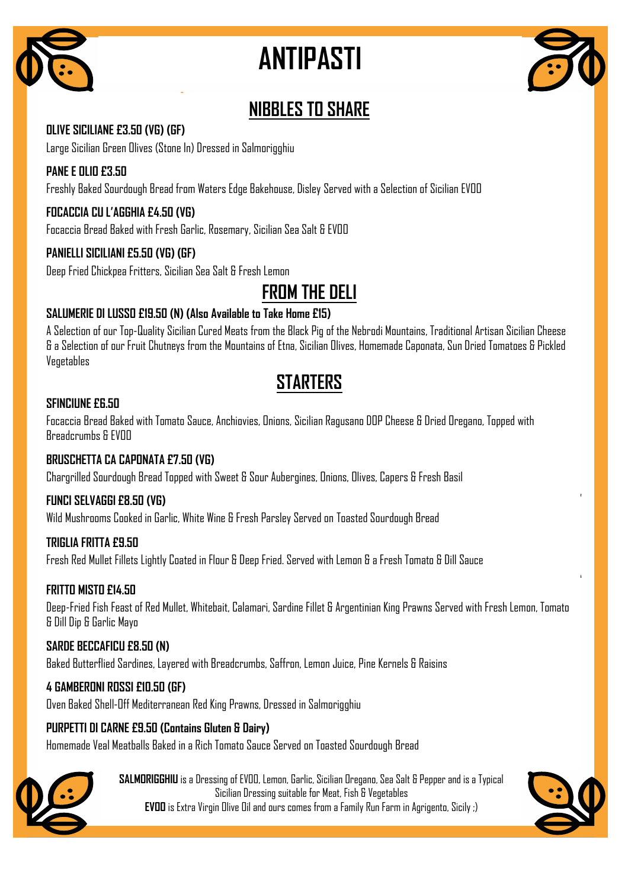

# **ANTIPASTI**



## **NIBBLES TO SHARE**

#### **OLIVE SICILIANE £3.50 (VG) (GF)**

Large Sicilian Green Olives (Stone In) Dressed in Salmorigghiu

#### **PANE E OLIO £3.50**

Freshly Baked Sourdough Bread from Waters Edge Bakehouse, Disley Served with a Selection of Sicilian EVOO

#### **FOCACCIA CU L'AGGHIA £4.50 (VG)**

Focaccia Bread Baked with Fresh Garlic, Rosemary, Sicilian Sea Salt & EVOO

#### **PANIELLI SICILIANI £5.50 (VG) (GF)**

Deep Fried Chickpea Fritters, Sicilian Sea Salt & Fresh Lemon

**FROM THE DELI**

#### **SALUMERIE DI LUSSO £19.50 (N) (Also Available to Take Home £15)**

A Selection of our Top-Quality Sicilian Cured Meats from the Black Pig of the Nebrodi Mountains, Traditional Artisan Sicilian Cheese & a Selection of our Fruit Chutneys from the Mountains of Etna, Sicilian Olives, Homemade Caponata, Sun Dried Tomatoes & Pickled Vegetables

## **STARTERS**

#### **SFINCIUNE £6.50**

Focaccia Bread Baked with Tomato Sauce, Anchiovies, Onions, Sicilian Ragusano DOP Cheese & Dried Oregano, Topped with Breadcrumbs & FVOO

#### **BRUSCHETTA CA CAPONATA £7.50 (VG)**

Chargrilled Sourdough Bread Topped with Sweet & Sour Aubergines, Onions, Olives, Capers & Fresh Basil

#### **FUNCI SELVAGGI £8.50 (VG)**

Wild Mushrooms Cooked in Garlic, White Wine & Fresh Parsley Served on Toasted Sourdough Bread

#### **TRIGLIA FRITTA £9.50**

Fresh Red Mullet Fillets Lightly Coated in Flour & Deep Fried. Served with Lemon & a Fresh Tomato & Dill Sauce

#### **FRITTO MISTO £14.50**

Deep-Fried Fish Feast of Red Mullet, Whitebait, Calamari, Sardine Fillet & Argentinian King Prawns Served with Fresh Lemon, Tomato & Dill Dip & Garlic Mayo

#### **SARDE BECCAFICU £8.50 (N)**

Baked Butterflied Sardines, Layered with Breadcrumbs, Saffron, Lemon Juice, Pine Kernels & Raisins

#### **4 GAMBERONI ROSSI £10.50 (GF)**

Oven Baked Shell-Off Mediterranean Red King Prawns, Dressed in Salmorigghiu

#### **PURPETTI DI CARNE £9.50 (Contains Gluten & Dairy)**

Homemade Veal Meatballs Baked in a Rich Tomato Sauce Served on Toasted Sourdough Bread



**SALMORIGGHIU** is a Dressing of EVOO, Lemon, Garlic, Sicilian Oregano, Sea Salt & Pepper and is a Typical Sicilian Dressing suitable for Meat, Fish & Vegetables **EVOO** is Extra Virgin Olive Oil and ours comes from a Family Run Farm in Agrigento, Sicily ;)

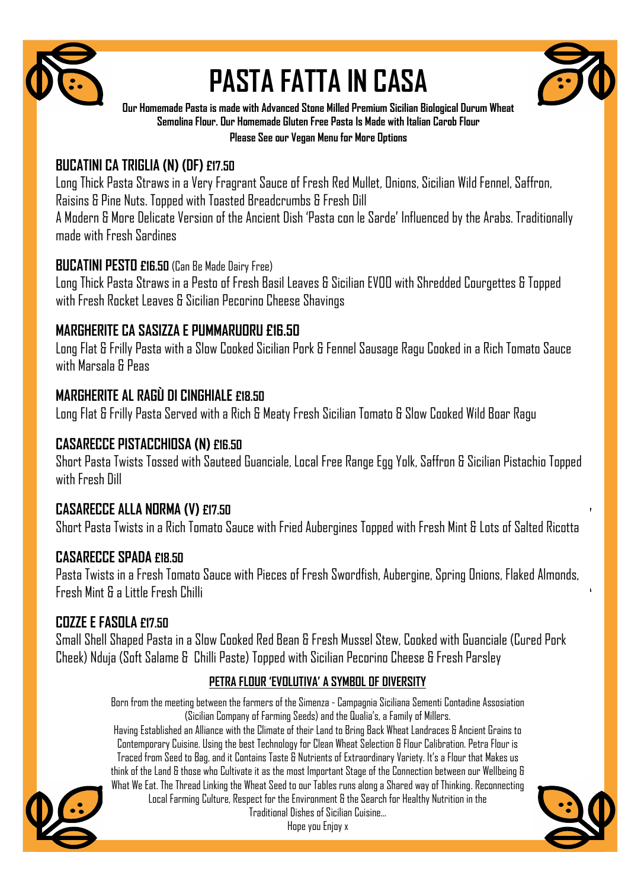

# **PASTA FATTA IN CASA**



**Our Homemade Pasta is made with Advanced Stone Milled Premium Sicilian Biological Durum Wheat Semolina Flour. Our Homemade Gluten Free Pasta Is Made with Italian Carob Flour** 

**Please See our Vegan Menu for More Options**

## **BUCATINI CA TRIGLIA (N) (DF) £17.50**

Long Thick Pasta Straws in a Very Fragrant Sauce of Fresh Red Mullet, Onions, Sicilian Wild Fennel, Saffron, Raisins & Pine Nuts. Topped with Toasted Breadcrumbs & Fresh Dill

A Modern & More Delicate Version of the Ancient Dish 'Pasta con le Sarde' Influenced by the Arabs. Traditionally made with Fresh Sardines

## **BUCATINI PESTO £16.50** (Can Be Made Dairy Free)

Long Thick Pasta Straws in a Pesto of Fresh Basil Leaves & Sicilian EVOO with Shredded Courgettes & Topped with Fresh Rocket Leaves & Sicilian Pecorino Cheese Shavings

## **MARGHERITE CA SASIZZA E PUMMARUORU £16.50**

Long Flat & Frilly Pasta with a Slow Cooked Sicilian Pork & Fennel Sausage Ragu Cooked in a Rich Tomato Sauce with Marsala & Peas

## **MARGHERITE AL RAGÙ DI CINGHIALE £18.50**

Long Flat & Frilly Pasta Served with a Rich & Meaty Fresh Sicilian Tomato & Slow Cooked Wild Boar Ragu

## **CASARECCE PISTACCHIOSA (N) £16.50**

Short Pasta Twists Tossed with Sauteed Guanciale, Local Free Range Egg Yolk, Saffron & Sicilian Pistachio Topped with Fresh Dill

## **CASARECCE ALLA NORMA (V) £17.50**

Short Pasta Twists in a Rich Tomato Sauce with Fried Aubergines Topped with Fresh Mint & Lots of Salted Ricotta

## **CASARECCE SPADA £18.50**

Pasta Twists in a Fresh Tomato Sauce with Pieces of Fresh Swordfish, Aubergine, Spring Onions, Flaked Almonds, Fresh Mint & a Little Fresh Chilli

## **COZZE E FASOLA £17.50**

Small Shell Shaped Pasta in a Slow Cooked Red Bean & Fresh Mussel Stew, Cooked with Guanciale (Cured Pork Cheek) Nduja (Soft Salame & Chilli Paste) Topped with Sicilian Pecorino Cheese & Fresh Parsley

## **PETRA FLOUR 'EVOLUTIVA' A SYMBOL OF DIVERSITY**

Born from the meeting between the farmers of the Simenza - Campagnia Siciliana Sementi Contadine Assosiation (Sicilian Company of Farming Seeds) and the Qualia's, a Family of Millers.

Having Established an Alliance with the Climate of their Land to Bring Back Wheat Landraces & Ancient Grains to Contemporary Cuisine. Using the best Technology for Clean Wheat Selection & Flour Calibration. Petra Flour is Traced from Seed to Bag, and it Contains Taste & Nutrients of Extraordinary Variety. It's a Flour that Makes us think of the Land & those who Cultivate it as the most Important Stage of the Connection between our Wellbeing & What We Eat. The Thread Linking the Wheat Seed to our Tables runs along a Shared way of Thinking. Reconnecting Local Farming Culture, Respect for the Environment & the Search for Healthy Nutrition in the



Procession of Current Current Current Current Current Current Current Current Current Current Current Current Current Current Current Current Current Current Current Current Current Current Current Current Current Current Traditional Dishes of Sicilian Cuisine...

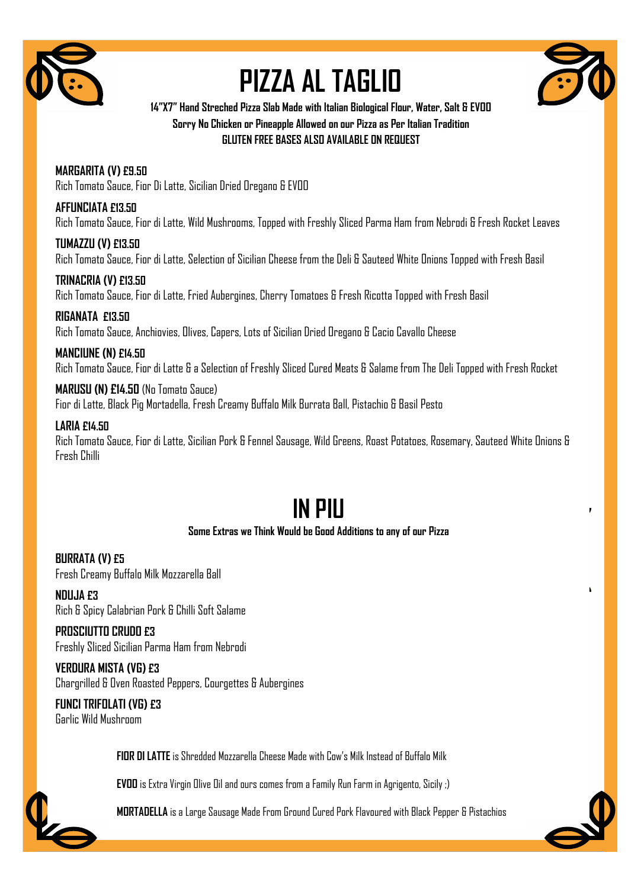

# **PIZZA AL TAGLIO**



**14"X7" Hand Streched Pizza Slab Made with Italian Biological Flour, Water, Salt & EVOO Sorry No Chicken or Pineapple Allowed on our Pizza as Per Italian Tradition GLUTEN FREE BASES ALSO AVAILABLE ON REQUEST**

**MARGARITA (V) £9.50** Rich Tomato Sauce, Fior Di Latte, Sicilian Dried Oregano & EVOO

**AFFUNCIATA £13.50** Rich Tomato Sauce, Fior di Latte, Wild Mushrooms, Topped with Freshly Sliced Parma Ham from Nebrodi & Fresh Rocket Leaves

**TUMAZZU (V) £13.50** Rich Tomato Sauce, Fior di Latte, Selection of Sicilian Cheese from the Deli & Sauteed White Onions Topped with Fresh Basil

**TRINACRIA (V) £13.50** Rich Tomato Sauce, Fior di Latte, Fried Aubergines, Cherry Tomatoes & Fresh Ricotta Topped with Fresh Basil

**RIGANATA £13.50** Rich Tomato Sauce, Anchiovies, Olives, Capers, Lots of Sicilian Dried Oregano & Cacio Cavallo Cheese

#### **MANCIUNE (N) £14.50**

Rich Tomato Sauce, Fior di Latte & a Selection of Freshly Sliced Cured Meats & Salame from The Deli Topped with Fresh Rocket

**MARUSU (N) £14.50** (No Tomato Sauce) Fior di Latte, Black Pig Mortadella, Fresh Creamy Buffalo Milk Burrata Ball, Pistachio & Basil Pesto

#### **LARIA £14.50**

Rich Tomato Sauce, Fior di Latte, Sicilian Pork & Fennel Sausage, Wild Greens, Roast Potatoes, Rosemary, Sauteed White Onions & Fresh Chilli

## **IN PIU**

#### **Some Extras we Think Would be Good Additions to any of our Pizza**

**BURRATA (V) £5** Fresh Creamy Buffalo Milk Mozzarella Ball

**NDUJA £3** Rich & Spicy Calabrian Pork & Chilli Soft Salame

**PROSCIUTTO CRUDO £3** Freshly Sliced Sicilian Parma Ham from Nebrodi

**VERDURA MISTA (VG) £3** Chargrilled & Oven Roasted Peppers, Courgettes & Aubergines

**FUNCI TRIFOLATI (VG) £3** Garlic Wild Mushroom

**FIOR DI LATTE**is Shredded Mozzarella Cheese Made with Cow's Milk Instead of Buffalo Milk

**EVOO** is Extra Virgin Olive Oil and ours comes from a Family Run Farm in Agrigento, Sicily ;)



Pie Nuts. A Pesto of Curly Endiversity and Curly Chemical Curly Anthony Capers, Anthony Capers, Ann **MORTADELLA** is a Large Sausage Made From Ground Cured Pork Flavoured with Black Pepper & Pistachios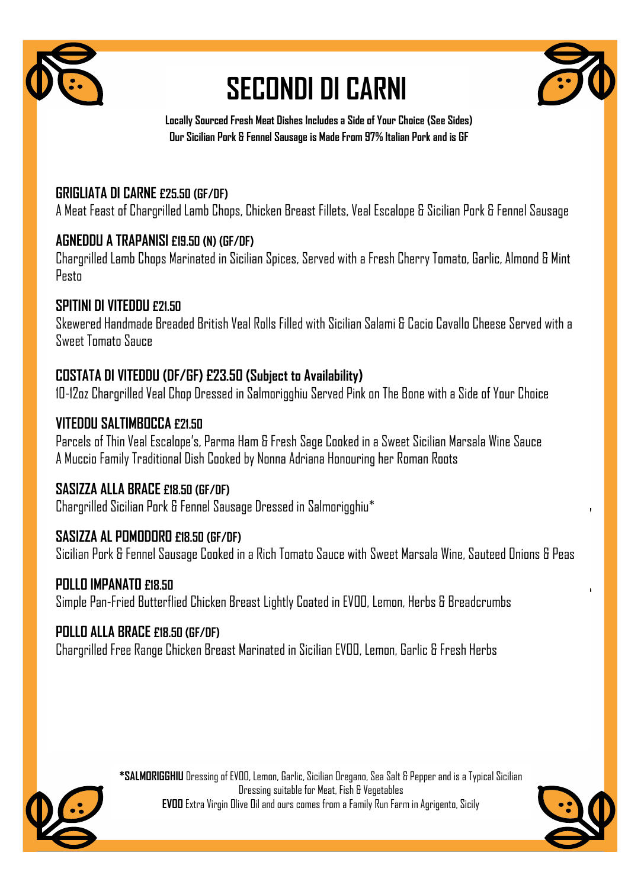

## **SECONDI DI CARNI**



**Locally Sourced Fresh Meat Dishes Includes a Side of Your Choice (See Sides) Our Sicilian Pork & Fennel Sausage is Made From 97% Italian Pork and is GF**

## **GRIGLIATA DI CARNE £25.50 (GF/DF)**

A Meat Feast of Chargrilled Lamb Chops, Chicken Breast Fillets, Veal Escalope & Sicilian Pork & Fennel Sausage

## **AGNEDDU A TRAPANISI £19.50 (N) (GF/DF)**

Chargrilled Lamb Chops Marinated in Sicilian Spices, Served with a Fresh Cherry Tomato, Garlic, Almond & Mint Pesto

### **SPITINI DI VITEDDU £21.50**

Skewered Handmade Breaded British Veal Rolls Filled with Sicilian Salami & Cacio Cavallo Cheese Served with a Sweet Tomato Sauce

## **COSTATA DI VITEDDU (DF/GF) £23.50 (Subject to Availability)**

10-12oz Chargrilled Veal Chop Dressed in Salmorigghiu Served Pink on The Bone with a Side of Your Choice

### **VITEDDU SALTIMBOCCA £21.50**

Parcels of Thin Veal Escalope's, Parma Ham & Fresh Sage Cooked in a Sweet Sicilian Marsala Wine Sauce A Muccio Family Traditional Dish Cooked by Nonna Adriana Honouring her Roman Roots

### **SASIZZA ALLA BRACE £18.50 (GF/DF)**

Chargrilled Sicilian Pork & Fennel Sausage Dressed in Salmorigghiu\*

### **SASIZZA AL POMODORO £18.50 (GF/DF)**

Sicilian Pork & Fennel Sausage Cooked in a Rich Tomato Sauce with Sweet Marsala Wine, Sauteed Onions & Peas

### **POLLO IMPANATO £18.50**

Simple Pan-Fried Butterflied Chicken Breast Lightly Coated in EVOO, Lemon, Herbs & Breadcrumbs

### **POLLO ALLA BRACE £18.50 (GF/DF)**

Chargrilled Free Range Chicken Breast Marinated in Sicilian EVOO, Lemon, Garlic & Fresh Herbs



**\*SALMORIGGHIU** Dressing of EVOO, Lemon, Garlic, Sicilian Oregano, Sea Salt & Pepper and is a Typical Sicilian Dressing suitable for Meat, Fish & Vegetables **EVOO** Extra Virgin Olive Oil and ours comes from a Family Run Farm in Agrigento, Sicily



ī